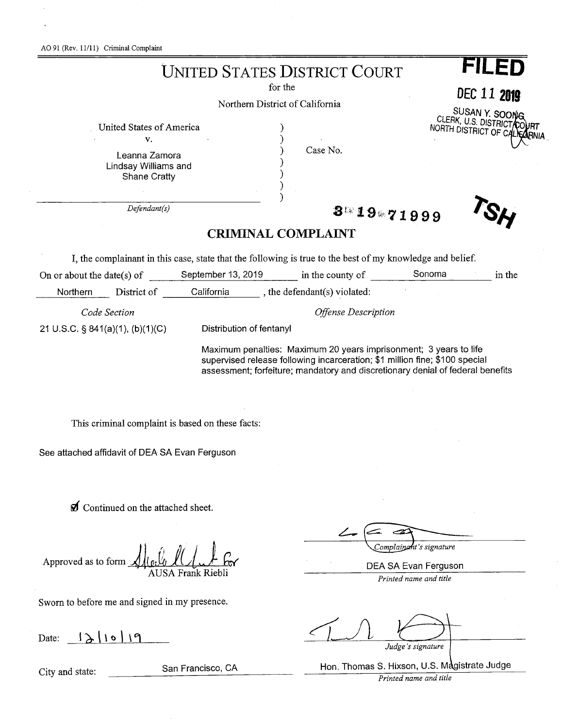AO 91 (Rev. 11/11) Criminal Complain

| AO 91 (Rev. 11/11) Criminal Complaint                            |                                                                                                                                                                                                                                    |
|------------------------------------------------------------------|------------------------------------------------------------------------------------------------------------------------------------------------------------------------------------------------------------------------------------|
|                                                                  | FILEI<br>UNITED STATES DISTRICT COURT                                                                                                                                                                                              |
|                                                                  | for the<br>DEC 11 2019                                                                                                                                                                                                             |
|                                                                  | Northern District of California<br>SUSAN Y. SOONG                                                                                                                                                                                  |
| United States of America<br>V.                                   | CLERK, U.S. DISTRICT COURT<br>NORTH DISTRICT OF CALIFARNIA                                                                                                                                                                         |
| Leanna Zamora<br>Lindsay Williams and<br><b>Shane Cratty</b>     | Case No.                                                                                                                                                                                                                           |
| Defendant(s)                                                     | $3 - 19 - 71999$                                                                                                                                                                                                                   |
|                                                                  | <b>CRIMINAL COMPLAINT</b>                                                                                                                                                                                                          |
|                                                                  | I, the complainant in this case, state that the following is true to the best of my knowledge and belief.                                                                                                                          |
| On or about the date(s) of                                       | September 13, 2019 in the county of Sonoma<br>in the                                                                                                                                                                               |
| Northern<br>District of                                          | California , the defendant(s) violated:                                                                                                                                                                                            |
| Code Section                                                     | Offense Description                                                                                                                                                                                                                |
| Distribution of fentanyl<br>21 U.S.C. § 841(a)(1), (b)(1)(C)     |                                                                                                                                                                                                                                    |
|                                                                  | Maximum penalties: Maximum 20 years imprisonment; 3 years to life<br>supervised release following incarceration; \$1 million fine; \$100 special<br>assessment; forfeiture; mandatory and discretionary denial of federal benefits |
| This criminal complaint is based on these facts:                 |                                                                                                                                                                                                                                    |
| See attached affidavit of DEA SA Evan Ferguson                   |                                                                                                                                                                                                                                    |
|                                                                  |                                                                                                                                                                                                                                    |
| <b><math>\mathcal{D}</math></b> Continued on the attached sheet. |                                                                                                                                                                                                                                    |
| Approved as to form<br>AUSA Frank Riebli                         | Complainaht's signature<br>DEA SA Evan Ferguson<br>Printed name and title                                                                                                                                                          |
| Sworn to before me and signed in my presence.                    |                                                                                                                                                                                                                                    |

Date: 12/10/19

City and state:

San Francisco, CA

Judge's signature Hon. Thomas S. Hixson, U.S. Magistrate Judge

 $\sqrt{1}$ 

Printed name and title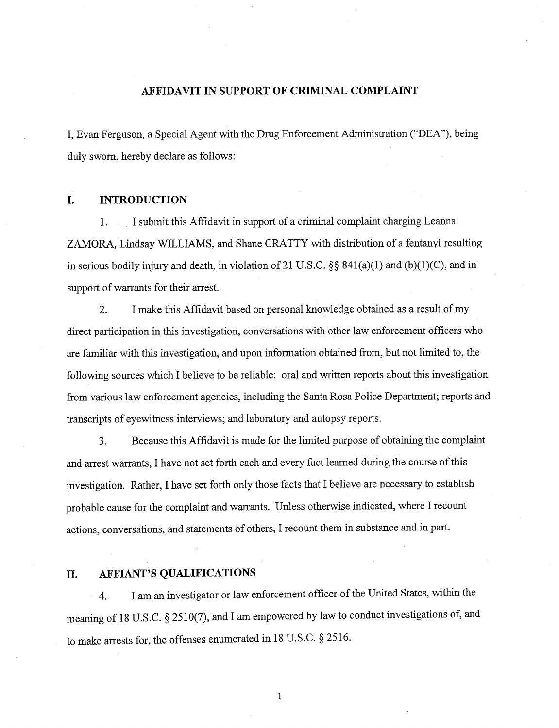### AFFIDAVIT IN SUPPORT OF CRIMINAL COMPLAINT

I, Evan Ferguson, a Special Agent with the Drug Enforcement Administration ("DEA"), being duly sworn, hereby declare as follows:

### I. INTRODUCTION

1. I submit this Affidavit in support of a criminal complaint charging Leanna ZAMORA, Lindsay WILLIAMS, and Shane CRATTY with distribution of a fentanyl resulting in serious bodily injury and death, in violation of 21 U.S.C.  $\S$ § 841(a)(1) and (b)(1)(C), and in support of warrants for their arrest.

2. <sup>I</sup>make this Affidavit based on personal knowledge obtained as a result of my direct participation in this investigation, conversations with other law enforcement officers who are familiar with this investigation, and upon information obtained from, but not limited to, the following sources which I believe to be reliable: oral and written reports about this investigation from various law enforcement agencies, including the Santa Rosa Police Department; reports and transcripts of eyewitness interviews; and laboratory and autopsy reports.

3. Because this Affidavit is made for the limited purpose of obtaining the complaint and arrest warrants, I have not set forth each and every fact learned during the course of this investigation. Rather, I have set forth only those facts that I believe are necessary to establish probable cause for the complaint and warrants. Unless otherwise indicated, where I recount actions, conversations, and statements of others, I recount them in substance and in part.

### II. AFFIANT'S QUALIFICATIONS

4. I am an investigator or law enforcement officer of the United States, within the meaning of 18 U.S.C. \$ 2510(7), and I am empowered by law to conduct investigations of, and to make arrests for, the offenses enumerated in 18 U.S.C. § 2516.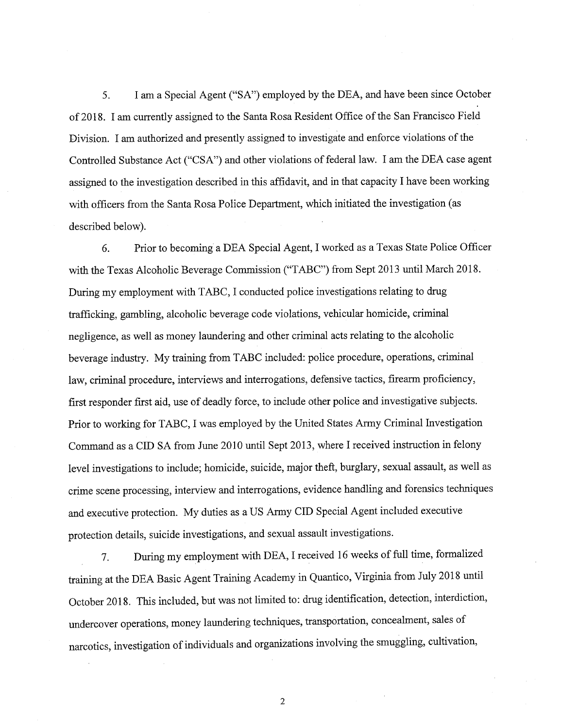5. I am a Special Agent ("SA") employed by the DEA, and have been since October of 2018. I am currently assigned to the Santa Rosa Resident Office of the San Francisco Field Division. I am authorized and presently assigned to investigate and enforce violations of the Controlled Substance Act ("CSA") and other violations of federal law. I am the DEA case agent assigned to the investigation described in this affidavit, and in that capacity I have been working with officers from the Santa Rosa Police Department, which initiated the investigation (as described below).

6. Prior to becoming a DEA Special Agent, I worked as a Texas State Police Officer with the Texas Alcoholic Beverage Commission ("TABC") from Sept 2013 until March 2018. During my employment with TABC, I conducted police investigations relating to drug traffrcking, gambling, alcoholic beverage code violations, vehicular homicide, criminal negligence, as well as money laundering and other criminal acts relating to the alcoholic beverage industry. My training from TABC included: police procedure, operations, criminal law, criminal procedure, interviews and interrogations, defensive tactics, firearm proficiency, first responder frst aid, use of deadly force, to include other police and investigative subjects. Prior to working for TABC, I was employed by the United States Army Criminal Investigation Command as a CID SA from June 2010 until Sept 2013, where I received instruction in felony level investigations to include; homicide, suicide, major theft, burglary, sexual assault, as well as crime scene processing, interview and interrogations, evidence handling and forensics techniques and executive protection. My duties as a US Army CID Special Agent included executive protection details, suicide investigations, and sexual assault investigations.

7. During my employment with DEA, I received 16 weeks of fulI time, formalized training at the DEA Basic Agent Training Academy in Quantico, Virginia from July 2018 until October 201g. This included, but was not limited to: drug identification, detection, interdiction, undercover operations, money laundering techniques, transportation, concealment, sales of narcotics, investigation of individuals and organizations involving the smuggling, cultivation,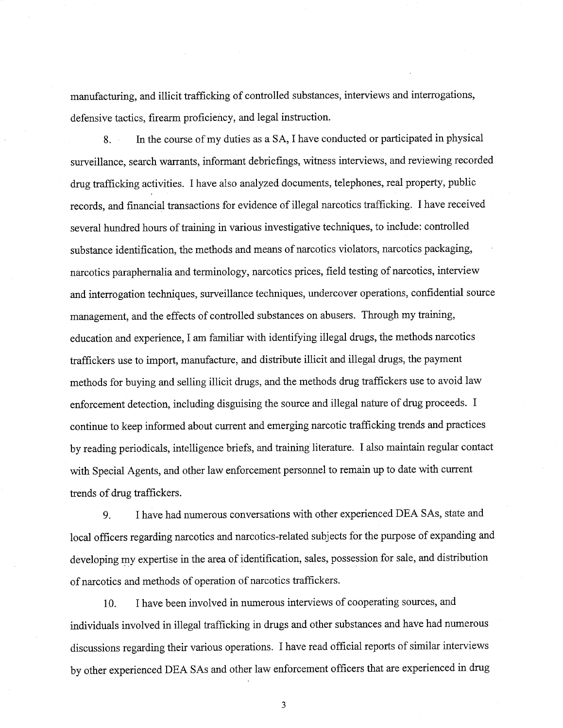manufacturing, and illicit trafficking of controlled substances, interviews and interrogations, defensive tactics, firearm proficiency, and legal instruction.

8. In the course of my duties as a SA, I have conducted or participated in physical surveillance, search warrants, informant debriefings, witness interviews, and reviewing recorded drug trafficking activities. I have also analyzed documents, telephones, real property, public records, and financial transactions for evidence of illegal narcotics trafficking. I have received several hundred hours of training in various investigative techniques, to include: controlled substance identification, the methods and means of narcotics violators, narcotics packaging, narcotics paraphernalia and terminology, narcotics prices, freld testing of narcotics, interview and interrogation techniques, surveillance techniques, undercover operations, confidential source management, and the effects of controlled substances on abusers. Through my training, education and experience, I am familiar with identifying illegal drugs, the methods narcotics traffrckers use to import, manufacture, and distribute illicit and illegal drugs, the payment methods for buying and selling illicit drugs, and the methods drug traffickers use to avoid law enforcement detection, including disguising the source and illegal nature of drug proceeds. I continue to keep informed about current and emerging narcotic traffrcking trends and practices by reading periodicals, intelligence briefs, and training literature. I also maintain regular contact with Special Agents, and other law enforcement personnel to remain up to date with current trends of drug traffickers.

9. <sup>I</sup>have had numerous conversations with other experienced DEA SAs, state and local officers regarding narcotics and narcotics-related subjects for the purpose of expanding and developing my expertise in the area of identification, sales, possession for sale, and distribution of narcotics and methods of operation of narcotics traffickers.

10. <sup>I</sup>have been involved in numerous interviews of cooperating sources, and individuals involved in illegal trafficking in drugs and other substances and have had numerous discussions regarding their various operations. I have read official reports of similar interviews by other experienced DEA SAs and other law enforcement officers that are experienced in drug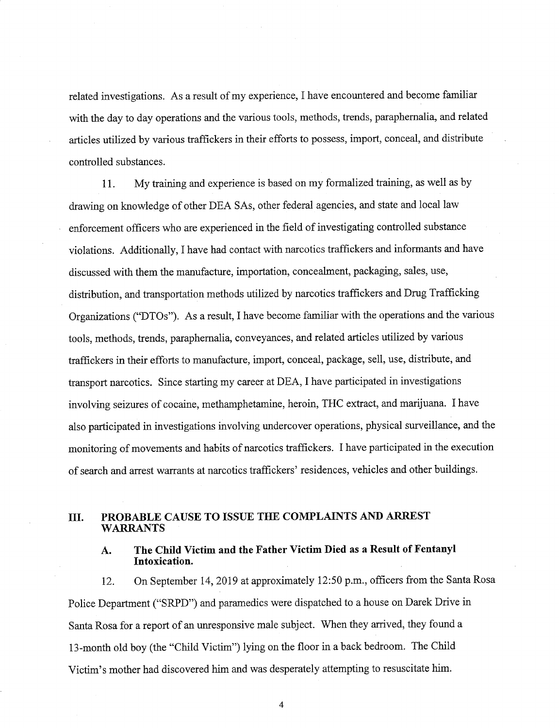related investigations. As a result of my experience, I have encountered and become familiar with the day to day operations and the various tools, methods, trends, paraphernalia, and related articles utilized by various traffrckers in their efforts to possess, import, conceal, and distribute controlled substances.

11. My tra:ining and experience is based on my formalized training, as well as by drawing on knowledge of other DEA SAs, other federal agencies, and state and local law enforcement officers who are experienced in the field of investigating controlled substance violations. Additionally, I have had contact with narcotics traffrckers and informants and have discussed with them the manufacture, importation, concealment, packaging, sales, use, distribution, and transportation methods utilized by narcotics traffickers and Drug Trafficking Organizations ("DTOs"). As a result, I have become familiar with the operations and the various tools, methods, trends, paraphemalia, conveyances, and related articles utilized by various traffickers in their efforts to manufacture, import, conceal, package, sell, use, distribute, and transport narcotics. Since starting my career at DEA, I have participated in investigations involving seizures of cocaine, methamphetamine, heroin, THC extract, and marijuana. I have also participated in investigations involving undercover operations, physical surveillance, and the monitoring of movements and habits of narcotics traffickers. I have participated in the execution of search and arrest warrants at narcotics traffickers' residences, vehicles and other buildings.

### III. PROBABLE CAUSE TO ISSUE TIIE COMPLAINTS AND ARREST WARRANTS

### A. The Child Yictim and the Father Yictim Died as a Result of Fentanyl Intoxication.

12. On September 14, 2019 at approximately 12:50 p.m., officers from the Santa Rosa Police Department ("SRPD") and paramedics were dispatched to a house on Darek Drive in Santa Rosa for a report of an unresponsive male subject. When they arrived, they found <sup>a</sup> 13-month old boy (the "Child Victim") lying on the floor in a back bedroom. The Child Victim's mother had discovered him and was desperately attempting to resuscitate him.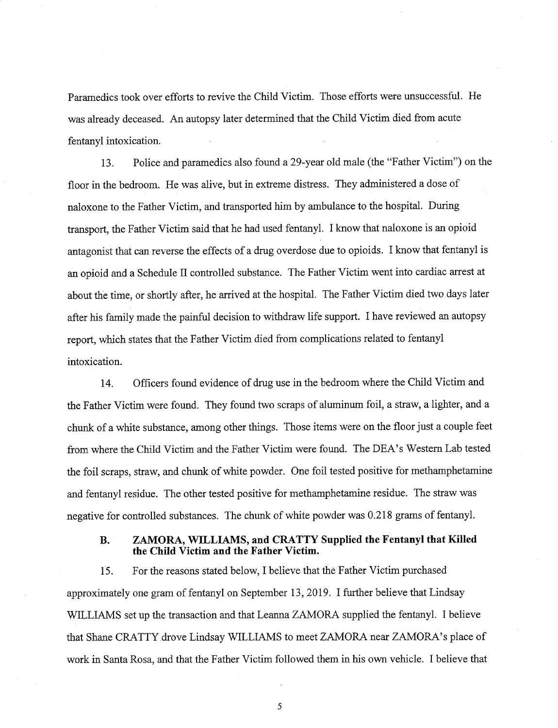Paramedics took over efforts to revive the Child Victim. Those efforts were unsuccessful. He was already deceased. An autopsy later determined that the Child Victim died from acute fentanyl intoxication

13. Police and paramedics also found a29-year old male (the "Father Victim") on the floor in the bedroom. He was alive, but in extreme distress. They administered a dose of naloxone to the Father Victim, and transported him by ambulance to the hospital. During transport, the Father Victim said that he had used fentanyl. I know that naloxone is an opioid antagonist that can reverse the effects of a drug overdose due to opioids. I know that fentanyl is an opioid and a Schedule II controlled substance. The Father Victim went into cardiac arrest at about the time, or shortly after, he arrived at the hospital. The Father Victim died two days later after his family made the painful decision to withdraw life support. I have reviewed an autopsy report, which states that the Father Victim died from complications related to fentanyl intoxication.

14. Officers found evidence of drug use in the bedroom where the Child Victim and the Father Victim were found. They found two scraps of aluminum foil, a straw, a lighter, and <sup>a</sup> chunk of a white substance, among other things. Those items were on the floor just a couple feet from where the Child'Victim and the Father Victim were found. The DEA's Western Lab tested the foil scraps, straw, and chunk of white powder. One foil tested positive for methamphetamine and fentanyl residue. 'fhe other tested positive for methamphetamine residue. The straw was negative for controlled substances. The chunk of white powder was 0.218 grams of fentanyl.

#### B. ZAMORA, WILLIAMS, and CRATTY Supplied the Fentanyl that Killed the Child Victim and the Father Victim.

15. For the reasons stated below, I believe that the Father Victim purchased approximately one gram of fentanyl on September 13,2019. I further believe that Lindsay WILLIAMS set up the transaction and that Leanna ZAMORA supplied the fentanyl. I believe that Shane CRATTY drove Lindsay WILLIAMS to meet ZAMORA near ZAMORA's place of work in Santa Rosa, and that the Father Victim followed them in his own vehicle. I believe that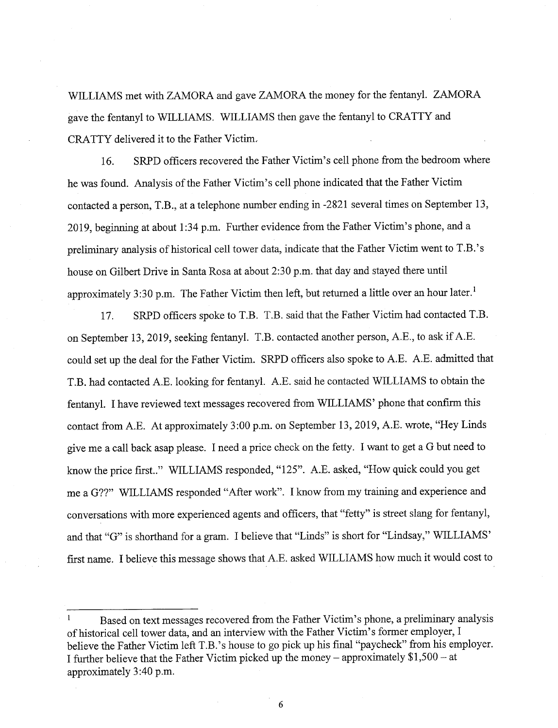WILLIAMS met with ZAMORA and gave ZAMORA the money for the fentanyl. ZAMORA gave the fentanyl to WILLIAMS. WLLIAMS then gave the fentanyl to CRATTY and CRATTY delivered it to the Father Victim.

16. SRPD officers recovered the Father Victim's cell phone from the bedroom where he was found. Analysis of the Father Victim's cell phone indicated that the Father Victim contacted a person, T.B., at a telephone number ending in -2821 several times on September 13, 2019, beginning at about 1:34 p.m. Further evidence from the Father Victim's phone, and a preliminary analysis of historical cell tower data, indicate that the Father Victim went to T.B.'s house on Gilbert Drive in Santa Rosa at about 2:30 p.m. that day and stayed there until approximately 3:30 p.m. The Father Victim then left, but returned a little over an hour later.<sup>1</sup>

17. SRPD officers spoke to T.B. T.B. said that the Father Victim had contacted T.B. on September 13, 2079, seeking fentanyl. T.B. contacted another person, A.E., to ask if A.E. could set up the deal for the Father Victim. SRPD officers also spoke to A.E. A.E. admitted that T.B. had contacted A.E. looking for fentanyl. A.E. said he contacted WILLIAMS to obtain the fentanyl. I have reviewed text messages recovered from WILLIAMS' phone that confirm this contact from A.E. At approximately 3:00 p.m. on September 13,2019, A.E. wrote, "Hey Linds give me a call back asap please. I need a price check on the fetfy. I want to get a G but need to know the price first.." WILLIAMS responded, "125". A.E. asked, "How quick could you get me aG??" WILIAMS responded "After work". I know from my training and experience and conversations with more experienced agents and officers, that "fetty" is street slang for fentanyl, and that "G" is shorthand for a gram. I believe that "Linds" is short for "Lindsay," WILLIAMS' first name. I believe this message shows that A.E. asked WILLIAMS how much it would cost to

<sup>1</sup> Based on text messages recovered from the Father Victim's phone, a preliminary analysis of historical cell tower data, and an interview with the Father Victim's former employer, I believe the Father Victim left T.B.'s house to go pick up his final "paycheck" from his employer. I further believe that the Father Victim picked up the money - approximately  $$1,500 - at$ approximately 3 :40 p.m.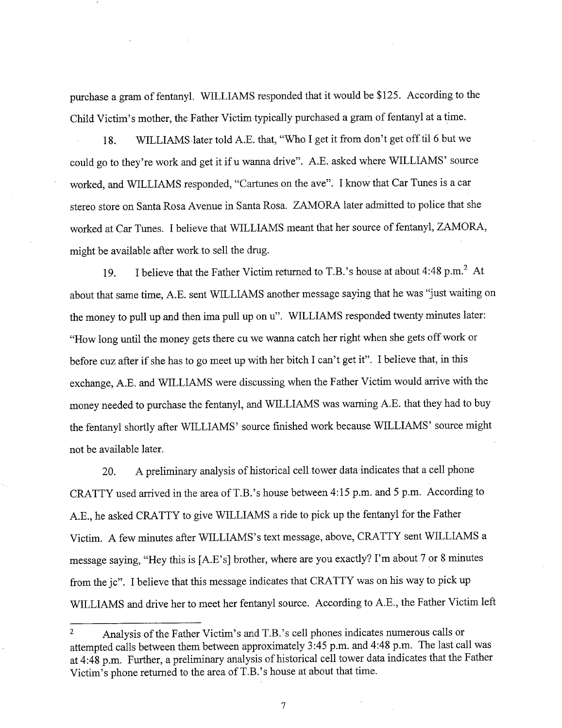purchase a gram of fentanyl. WILLIAMS responded that it would be \$125. According to the Child Victim's mother, the Father Victim typically purchased a gram of fentanyl at a time.

18. WILLIAMS later told A.E. that, "Who I get it from don't get off til 6 but we could go to they're work and get it if u wanna drive". A.E. asked where WILLIAMS' source worked, and WILLIAMS responded, "Cartunes on the ave". I know that Car Tunes is a car stereo store on Santa Rosa Avenue in Santa Rosa. ZAMORA later admitted to police that she worked at Car Tunes. I believe that WILLIAMS meant that her source of fentanyl, ZAMORA, might be available after work to sell the drug.

19. I believe that the Father Victim returned to T.B.'s house at about 4:48 p.m.<sup>2</sup> At about that same time, A.E. sent WILLIAMS another message saying that he was "just waiting on the money to pull up and then ima pull up on u". WILIAMS responded twenty minutes later: "How long until the money gets there cu we wanna catch her right when she gets offwork or before cuz after if she has to go meet up with her bitch I can't get it". I believe that, in this exchange, A.E. and WILLIAMS were discussing when the Father Victim would arrive with the money needed to purchase the fentanyl, and WILLIAMS was warning A.E. that they had to buy the fentanyl shortly after WILLIAMS' source finished work because WILLIAMS' source might not be available later.

20. A preliminary analysis of historical cell tower data indicates that a cell phone CRATTY used arrived in the area of T.B.'s house between 4:15 p.m. and 5 p.m. According to A.E., he asked CRATTY to give WILLIAMS a ride to pick up the fentanyl for the Father Victim. A few minutes after WILLIAMS's text message, above, CRATTY sent WILLIAMS <sup>a</sup> message saying, "Hey this is [A.E's] brother, where are you exactly? I'm about 7 or 8 minutes from the jc". I believe that this message indicates that CRATTY was on his way to pick up WILLIAMS and drive her to meet her fentanyl source. According to A.E., the Father Victim left

<sup>2</sup> Analysis of the Father Victim's and T.B.'s cell phones indicates numerous calls or attempted calls between them between approximately 3:45 p.m. and 4:48 p.m. The last call was at 4:48 p.m. Further, a preliminary analysis of historical cell tower data indicates that the Father victim's phone retumed to the area of T.B.'s house at about that time.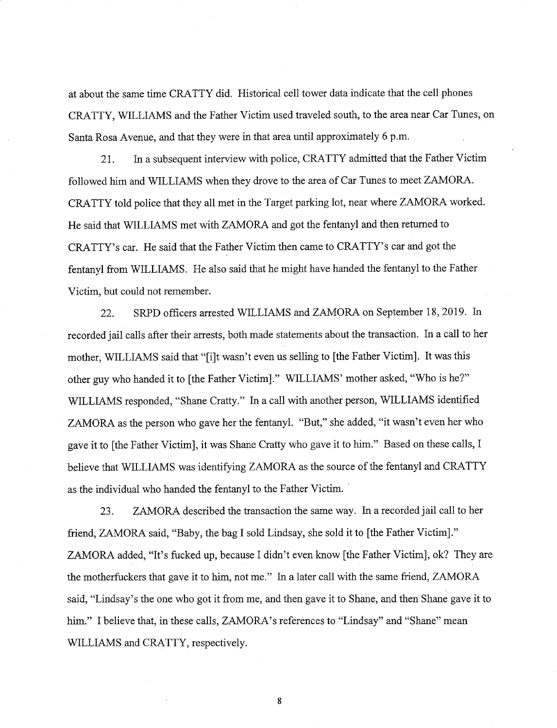at about the same time CRATTY did. Historical cell tower data indicate that the cell phones CRATTY, WLLIAMS and the Father Victim used traveled south, to the area near Car Tunes, on Santa Rosa Avenue, and that they were in that area until approximately 6 p.m.

21. In a subsequent interview with police, CRATTY admitted that the Father Victim followed him and WILLIAMS when they drove to the area of Car Tunes to meet ZAMORA. CRATTY told police that they all met in the Target parking lot, near where ZAMORA worked. He said that WILLIAMS met with ZAMORA and got the fentanyl and then retumed to CRATTY's car. He said that the Father Victim then came to CRATTY's car and got the fentanyl from WILLIAMS. He also said that he might have handed the fentanyl to the Father Victim, but could not remember.

22. SRPD officers arrested WILLIAMS and ZAMORA on September 18, 2019. In recorded jail calls after their arrests, both made statements about the transaction. In a call to her mother, WILLIAMS said that "[i]t wasn't even us selling to [the Father Victim]. It was this other guy who handed it to [the Father Victim]." WLLIAMS' mother asked, "Who is he?" WILLIAMS responded, "Shane Cratty." In a call with another person, WILLIAMS identified ZAMORA as the person who gave her the fentanyl. "But," she added, "it wasn't even her who gave it to [the Father Victim], it was Shane Cratty who gave it to him." Based on these calls, I believe that WILLIAMS was identifying ZAMORA as the source of the fentanyl and CRATTY as the individual who handed the fentanyl to the Father Victim. '

23. ZAMORA described the transaction the same way. In a recorded jail call to her friend, ZAMORA said, "Baby, the bag I sold Lindsay, she sold it to [the Father Victim]." ZAMORA added, "It's fucked up, because I didn't even know [the Father Victim], ok? They are the motherfuckers that gave it to him, not me." ln a later call with the same friend, ZAMORA said, "Lindsay's the one who got it from me, and then gave it to Shane, and then Shane gave it to him." I believe that, in these calls, ZAMORA's references to "Lindsay" and "Shane" mean WILLIAMS and CRATTY, respectively.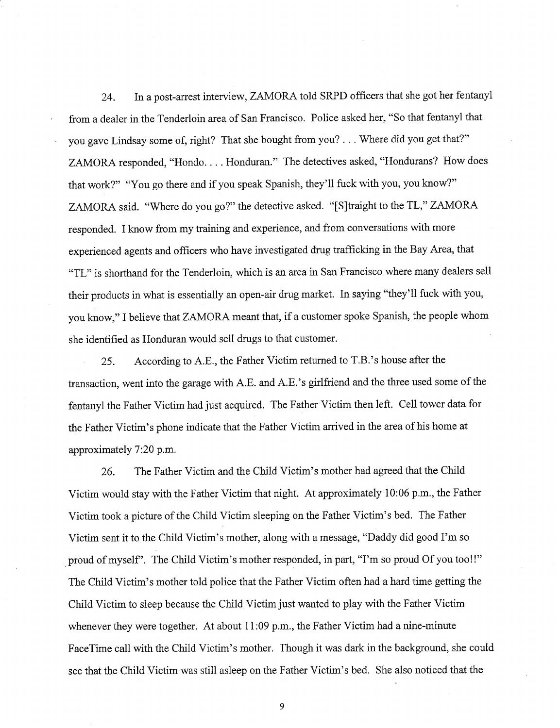24. In a post-arrest interview, ZAMORA told SRPD offrcers that she got her fentanyl from a dealer in the Tenderloin area of San Francisco. Police asked her, "So that fentanyl that you gave Lindsay some of, right? That she bought from you? . . . Where did you get that?" ZAMORA responded, "Hondo. . . . Honduran." The detectives asked, "Hondurans? How does that work?" "You go there and if you speak Spanish, they'll fuck with you, you know?" ZAMORA said. "Where do you go?" the detective asked. "[S]traight to the TL," ZAMORA responded. I know from my training and experience, and from conversations with more experienced agents and officers who have investigated drug trafficking in the Bay Area, that "TL" is shorthand for the Tenderloin, which is an area in San Francisco where many dealers sell their products in what is essentially an open-air drug market. In saying "they'll fuck with you, you know," I believe that ZAMORA meant that, if a customer spoke Spanish, the people whom she identified as Honduran would sell drugs to that customer.

25. According to A.E., the Father Victim returned to T.B.'s house after the transaction, went into the garage with A.E. and A.E.'s girlfriend and the three used some of the fentanyl the Father Victim had just acquired. The Father Victim then left. Cell tower data for the Father Victim's phone indicate that the Father Victim arrived in the area of his home at approximately 7:20 p.m.

26. The Father Victim and the Child Victim's mother had agreed that the Child Victim would stay with the Father Victim that night. At approximately 10:06 p.m., the Father Victim took a picture of the Child Victim sleeping on the Father Victim's bed. The Father Victim sent it to the Child Victim's mother, along with a message, "Daddy did good I'm so proud of myself'. The Child Victim's mother responded, in part, "I'm so proud Of you too!!" The Child Victim's mother told police that the Father Victim often had a hard time getting the Child Victim to sleep because the Child Victim just wanted to play with the Father Victim whenever they were together. At about 11:09 p.m., the Father Victim had a nine-minute FaceTime call with the Child Victim's mother. Though it was dark in the background, she could see that the Child Victim was still asleep on the Father Victim's bed. She also noticed that the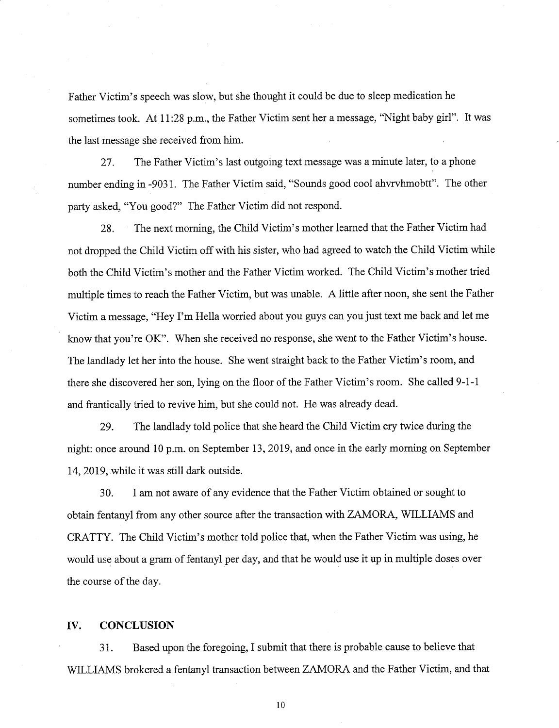Father Victim's speech was slow, but she thought it could be due to sleep medication he sometimes took. At 11:28 p.m., the Father Victim sent her a message, "Night baby girl". It was the last message she received frorn him.

27. The Father Victim's last outgoing text message was a minute later, to a phone number ending in -9031. The Father Victim said, "Sounds good cool ahvrvhmobtt". The other party asked, "You good?" The Father Victim did not respond.

28. The next moming, the Child Victim's mother learned that the Father Victim had not dropped the Chitd Victim offwith his sister, who had agreed to watch the Child Victim while both the Child Victim's mother and the Father Victim worked. The Child Victim's mother tried multiple times to reach the Father Victim, but was unable. A little after noon, she sent the Father Victim a message, "Hey I'm Hella worried about you guys can you just text me back and let me know that you're OK". When she received no response, she went to the Father Victim's house. The landlady let her into the house. She went straight back to the Father Victim's room, and there she discovered her son, lying on the floor of the Father Victim's room. She called 9-1-1 and frantically tried to revive him, but she could not. He was already dead.

29. The landlady told police that she heard the Child Victim cry twice during the night: once around 10 p.m. on September 13, 2019, and once in the early moming on September 14, 2019, while it was still dark outside.

30. I am not aware of any evidence that the Father Victim obtained or sought to obtain fentanyl from any other source after the transaction with ZAMORA, WILLIAMS and CRATTY. The Child Victim's mother told police that, when the Father Victim was using, he would use about a gram of fentanyl per day, and that he would use it up in multiple doses over the course of the day.

#### W. CONCLUSION

31. Based upon the foregoing, I submit that there is probable cause to believe that WILLIAMS brokered a fentanyl transaction between ZAMORA and the Father Victim, and that

l0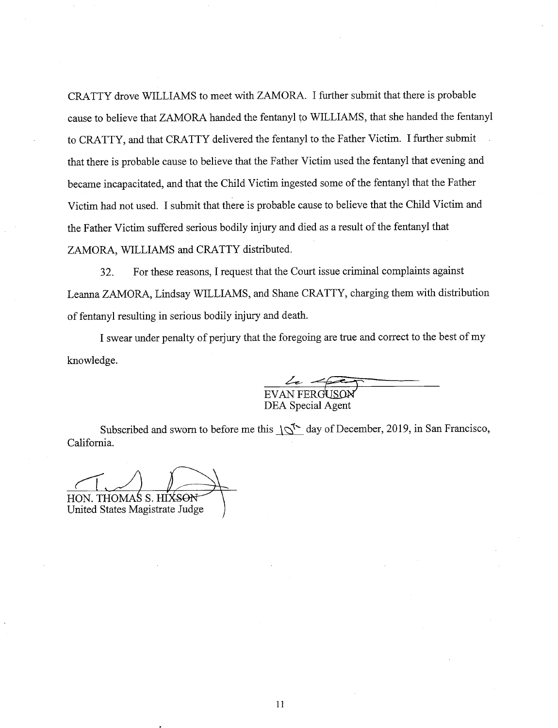CRATTY drove WILLIAMS to meet with ZAMORA. I further submit that there is probable cause to believe thatZANIORA handed the fentanyl to WILLIAMS, that she handed the fentanyl to CRATTY, and that CRATTY delivered the fentanyl to the Father Victim. I further submit that there is probable cause to believe that the Father Victim used the fentanyl that evening and became incapacitated, and that the Child Victim ingested some of the fentanyl that the Father Victim had not used. I submit that there is probable cause to believe that the Chitd Victim and the Father Victim suffered serious bodily injury and died as a result of the fentanyl that ZAMORA, WILLIAMS and CRATTY distributed.

32. For these reasons, I request that the Court issue criminal complaints against Leanna ZAMORA, Lindsay WILLIAMS, and Shane CRATTY, charging them with distribution of fentanyl resulting in serious bodily injury and death.

I swear under penalty of perjury that the foregoing are true and correct to the best of my knowledge.

 $\frac{2}{\sqrt{2}}$ **EVAN FERG** DEA Special Agent

Subscribed and sworn to before me this  $\sqrt{\ }$  day of December, 2019, in San Francisco, California.

HON. THOMAS S. HIXSON United States Magistrate Judge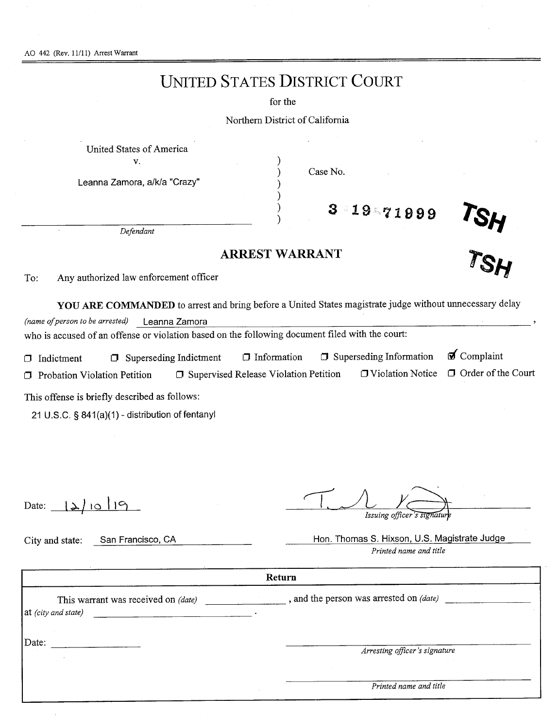# UNITED STATES DISTRICT COURT

for the

|                                                                                                                                                                                                                                                                                                         | Northern District of California                                                                                                                                                                                                            |
|---------------------------------------------------------------------------------------------------------------------------------------------------------------------------------------------------------------------------------------------------------------------------------------------------------|--------------------------------------------------------------------------------------------------------------------------------------------------------------------------------------------------------------------------------------------|
| United States of America<br>V.<br>Leanna Zamora, a/k/a "Crazy"<br>Defendant                                                                                                                                                                                                                             | Case No.<br>$3 - 19 - 71999$<br>אטי<br>גר                                                                                                                                                                                                  |
| Any authorized law enforcement officer<br>To:                                                                                                                                                                                                                                                           | <b>ARREST WARRANT</b>                                                                                                                                                                                                                      |
| (name of person to be arrested)<br>Leanna Zamora<br>who is accused of an offense or violation based on the following document filed with the court:<br>Superseding Indictment<br>$\Box$ Indictment<br>$\Box$<br><b>O</b> Supervised Release Violation Petition<br><b>J</b> Probation Violation Petition | YOU ARE COMMANDED to arrest and bring before a United States magistrate judge without unnecessary delay<br>$\mathbf{\nabla}$ Complaint<br>$\Box$ Superseding Information<br>$\Box$ Information<br>Order of the Court<br>□ Violation Notice |
| This offense is briefly described as follows:<br>21 U.S.C. § 841(a)(1) - distribution of fentanyl                                                                                                                                                                                                       |                                                                                                                                                                                                                                            |
| Date:                                                                                                                                                                                                                                                                                                   | Issuing officer's sig                                                                                                                                                                                                                      |
| City and state: San Francisco, CA                                                                                                                                                                                                                                                                       | Hon. Thomas S. Hixson, U.S. Magistrate Judge<br>Printed name and title                                                                                                                                                                     |
|                                                                                                                                                                                                                                                                                                         | Return                                                                                                                                                                                                                                     |
| at (city and state)                                                                                                                                                                                                                                                                                     |                                                                                                                                                                                                                                            |
| Date:                                                                                                                                                                                                                                                                                                   | Arresting officer's signature                                                                                                                                                                                                              |

Printed name and title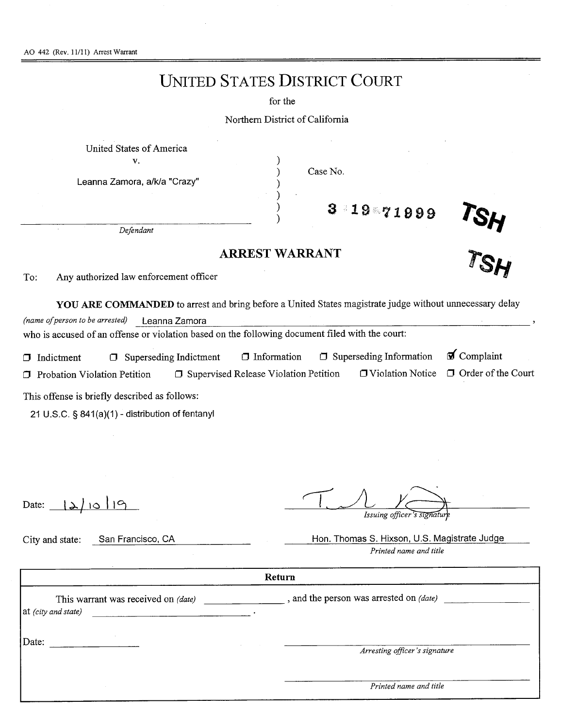# UNITED STATES DISTRICT COURT

for the

### Northern District of California

| United States of America<br>V.<br>Leanna Zamora, a/k/a "Crazy"                                                                                      | Case No.                                                                                                                               |
|-----------------------------------------------------------------------------------------------------------------------------------------------------|----------------------------------------------------------------------------------------------------------------------------------------|
| Defendant                                                                                                                                           | $3 - 19 - 71999$                                                                                                                       |
|                                                                                                                                                     | $\frac{1}{10}$                                                                                                                         |
| Any authorized law enforcement officer<br>To:                                                                                                       | <b>ARREST WARRANT</b>                                                                                                                  |
| (name of person to be arrested)<br>Leanna Zamora<br>who is accused of an offense or violation based on the following document filed with the court: | YOU ARE COMMANDED to arrest and bring before a United States magistrate judge without unnecessary delay                                |
| $\Box$ Superseding Indictment<br>Indictment<br>□<br>$\square$ Supervised Release Violation Petition<br>Probation Violation Petition<br>□            | $\mathbf{\nabla}$ Complaint<br>$\Box$ Superseding Information<br>$\Box$ Information<br>$\Box$ Order of the Court<br>□ Violation Notice |
| This offense is briefly described as follows:<br>21 U.S.C. § 841(a)(1) - distribution of fentanyl                                                   |                                                                                                                                        |
|                                                                                                                                                     |                                                                                                                                        |
|                                                                                                                                                     |                                                                                                                                        |
|                                                                                                                                                     |                                                                                                                                        |
| Date:                                                                                                                                               | Issuing officer's signature                                                                                                            |
| San Francisco, CA<br>City and state:                                                                                                                | Hon. Thomas S. Hixson, U.S. Magistrate Judge<br>Printed name and title                                                                 |
|                                                                                                                                                     | Return                                                                                                                                 |
| at (city and state)                                                                                                                                 | This warrant was received on (date) ______________________, and the person was arrested on (date)                                      |
| Date:                                                                                                                                               | Arresting officer's signature                                                                                                          |
|                                                                                                                                                     | Printed name and title                                                                                                                 |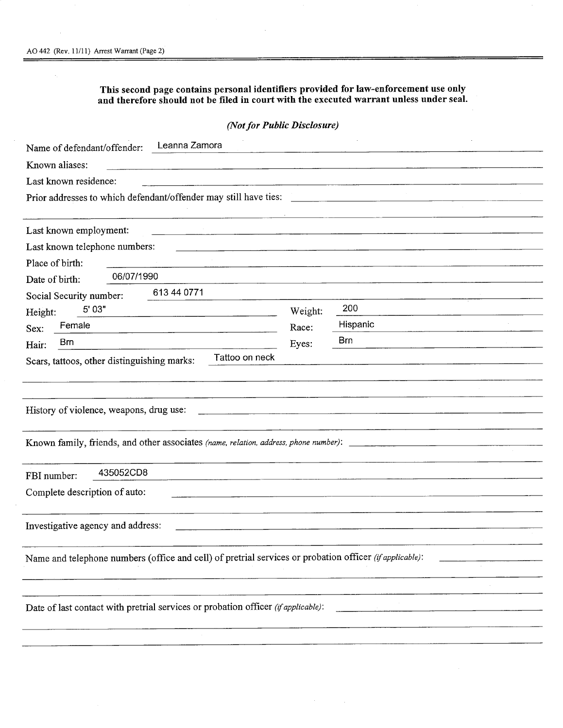$\bar{\mathcal{A}}$ 

This second page contains personal identifiers provided for law-enforcement use only and therefore should not be frled in court with the executed warrant unless under seal.

### (Not for Public Disclosure)

| Leanna Zamora<br>Name of defendant/offender:                                                                                                            |         |          |
|---------------------------------------------------------------------------------------------------------------------------------------------------------|---------|----------|
| Known aliases:                                                                                                                                          |         |          |
| Last known residence:<br>and the state of the state of the state of the state of the state of the state of the state of the                             |         |          |
|                                                                                                                                                         |         |          |
|                                                                                                                                                         |         |          |
| Last known employment:<br><u> 1980 - Jan Samuel Barnett, amerikanischer Schwarzer und der Stadt und der Stadt und der Stadt und der Stadt u</u>         |         |          |
| Last known telephone numbers:<br><u> 1980 - Jan Alexandri, martin amerikan basar basar dan basar dalam basar dalam basar dalam basar dalam basar da</u> |         |          |
| Place of birth:                                                                                                                                         |         |          |
| 06/07/1990<br>Date of birth:                                                                                                                            |         |          |
| 613 44 0771<br>Social Security number:                                                                                                                  |         |          |
| 5'03"<br>Height:                                                                                                                                        | Weight: | 200      |
| Female<br>Sex:                                                                                                                                          | Race:   | Hispanic |
| <b>Brn</b><br>Hair:                                                                                                                                     | Eyes:   | Brn      |
| Tattoo on neck<br>Scars, tattoos, other distinguishing marks:                                                                                           |         |          |
|                                                                                                                                                         |         |          |
|                                                                                                                                                         |         |          |
| History of violence, weapons, drug use:                                                                                                                 |         |          |
|                                                                                                                                                         |         |          |
|                                                                                                                                                         |         |          |
|                                                                                                                                                         |         |          |
| 435052CD8<br>FBI number:                                                                                                                                |         |          |
| Complete description of auto:                                                                                                                           |         |          |
|                                                                                                                                                         |         |          |
| Investigative agency and address:                                                                                                                       |         |          |
|                                                                                                                                                         |         |          |
| Name and telephone numbers (office and cell) of pretrial services or probation officer (if applicable):                                                 |         |          |
|                                                                                                                                                         |         |          |
|                                                                                                                                                         |         |          |
| Date of last contact with pretrial services or probation officer (if applicable):                                                                       |         |          |
|                                                                                                                                                         |         |          |
|                                                                                                                                                         |         |          |
|                                                                                                                                                         |         |          |

 $\mathcal{A}^{\text{max}}_{\text{max}}$  and  $\mathcal{A}^{\text{max}}_{\text{max}}$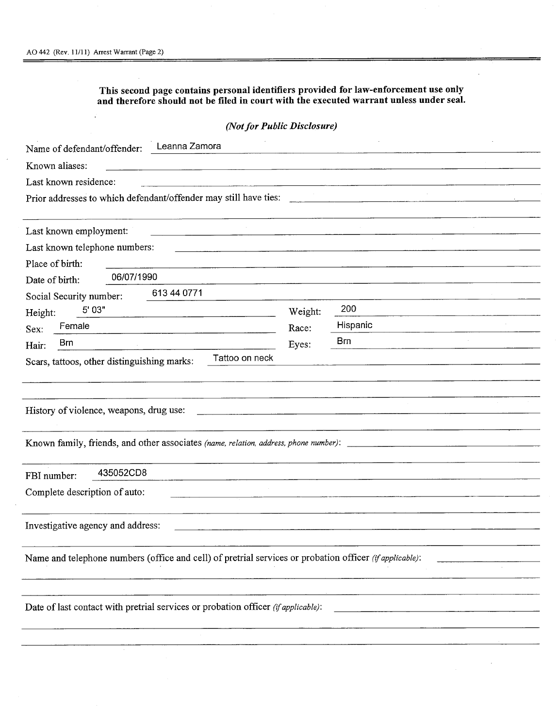J.

This second page contains personal identifiers provided for law-enforcement use only and therefore should not be frled in court with the executed warrant unless under seal.

### (Not for Public Disclosure)

| Leanna Zamora<br>Name of defendant/offender:                                                                                                         |         |          |
|------------------------------------------------------------------------------------------------------------------------------------------------------|---------|----------|
| Known aliases:<br><u> 1980 - Jan James James James James James James James James James James James James James James James James J</u>               |         |          |
| Last known residence:<br><u> 1990 - Andrea Albert III, amerikan bisa di sebagai pertama kemanan dan pertama pertama pertama pertama pertama</u>      |         |          |
| Prior addresses to which defendant/offender may still have ties:                                                                                     |         |          |
|                                                                                                                                                      |         |          |
| Last known employment:<br><u> 2000 - Jan James Samuel (f. 1989)</u>                                                                                  |         |          |
| Last known telephone numbers:                                                                                                                        |         |          |
| Place of birth:                                                                                                                                      |         |          |
| 06/07/1990<br>Date of birth:                                                                                                                         |         |          |
| 613 44 0771<br>Social Security number:                                                                                                               |         |          |
| 5'03"<br>Height:                                                                                                                                     | Weight: | 200      |
| Female<br>Sex:                                                                                                                                       | Race:   | Hispanic |
| <b>Brn</b><br>Hair:<br><u> 1980 - Jan Stein Stein Stein Stein Stein Stein Stein Stein Stein Stein Stein Stein Stein Stein Stein Stein S</u>          | Eyes:   | Bm       |
| Tattoo on neck<br>Scars, tattoos, other distinguishing marks:                                                                                        |         |          |
|                                                                                                                                                      |         |          |
|                                                                                                                                                      |         |          |
| History of violence, weapons, drug use:                                                                                                              |         |          |
|                                                                                                                                                      |         |          |
|                                                                                                                                                      |         |          |
|                                                                                                                                                      |         |          |
| 435052CD8<br>FBI number:                                                                                                                             |         |          |
| Complete description of auto:<br>and the contract of the contract of the contract of the contract of the contract of the contract of the contract of |         |          |
|                                                                                                                                                      |         |          |
| Investigative agency and address:                                                                                                                    |         |          |
|                                                                                                                                                      |         |          |
| Name and telephone numbers (office and cell) of pretrial services or probation officer (if applicable):                                              |         |          |
|                                                                                                                                                      |         |          |
|                                                                                                                                                      |         |          |
| Date of last contact with pretrial services or probation officer (if applicable):                                                                    |         |          |
|                                                                                                                                                      |         |          |
|                                                                                                                                                      |         |          |
|                                                                                                                                                      |         |          |

 $\sim$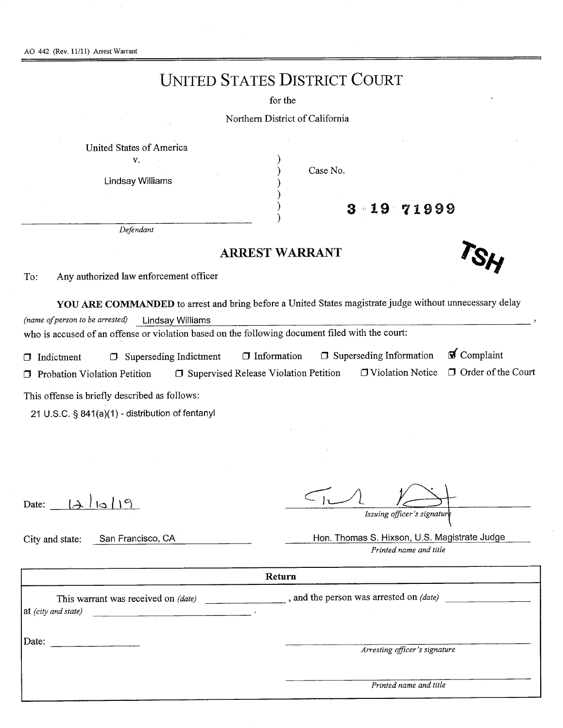# UNITED STATES DISTRICT COURT

for the

Northern District of California

|                                                                                                                                                        | Northern District of California                                                                                                 |
|--------------------------------------------------------------------------------------------------------------------------------------------------------|---------------------------------------------------------------------------------------------------------------------------------|
| United States of America<br>v.<br><b>Lindsay Williams</b><br>Defendant                                                                                 | Case No.<br>$3 - 19 - 71999$                                                                                                    |
|                                                                                                                                                        | <b>ARREST WARRANT</b>                                                                                                           |
| Any authorized law enforcement officer<br>To:                                                                                                          |                                                                                                                                 |
| (name of person to be arrested)<br>Lindsay Williams<br>who is accused of an offense or violation based on the following document filed with the court: | YOU ARE COMMANDED to arrest and bring before a United States magistrate judge without unnecessary delay                         |
| $\Box$ Superseding Indictment<br>$\Box$ Indictment<br>$\Box$ Supervised Release Violation Petition<br>Probation Violation Petition                     | $\mathcal J$ Complaint<br>$\Box$ Superseding Information<br>$\Box$ Information<br>Order of the Court<br>$\Box$ Violation Notice |
| This offense is briefly described as follows:<br>21 U.S.C. § 841(a)(1) - distribution of fentanyl                                                      |                                                                                                                                 |
|                                                                                                                                                        |                                                                                                                                 |
| Date:<br>l۵                                                                                                                                            | Issuing officer's signature                                                                                                     |
| City and state: San Francisco, CA                                                                                                                      | Hon. Thomas S. Hixson, U.S. Magistrate Judge<br>Printed name and title                                                          |
|                                                                                                                                                        | Return                                                                                                                          |
| This warrant was received on (date)<br>at (city and state)                                                                                             | $\frac{1}{2}$ , and the person was arrested on (date)                                                                           |
| Date:<br>the control of the control of the control of                                                                                                  | Arresting officer's signature                                                                                                   |
|                                                                                                                                                        | Printed name and title                                                                                                          |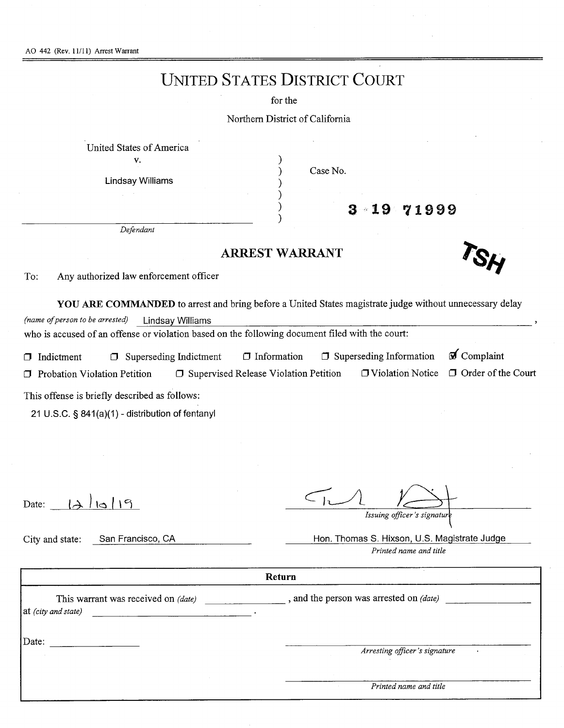# UNITED STATES DISTRICT COURT

for the

## Northem District of California

| United States of America                                                                                                                               |                                                                                                                                        |
|--------------------------------------------------------------------------------------------------------------------------------------------------------|----------------------------------------------------------------------------------------------------------------------------------------|
| v.<br><b>Lindsay Williams</b>                                                                                                                          | Case No.                                                                                                                               |
|                                                                                                                                                        |                                                                                                                                        |
|                                                                                                                                                        | 71999<br>$3 - 19$                                                                                                                      |
| Defendant                                                                                                                                              |                                                                                                                                        |
|                                                                                                                                                        | <b>ARREST WARRANT</b>                                                                                                                  |
| Any authorized law enforcement officer<br>To:                                                                                                          |                                                                                                                                        |
| (name of person to be arrested)<br>Lindsay Williams<br>who is accused of an offense or violation based on the following document filed with the court: | YOU ARE COMMANDED to arrest and bring before a United States magistrate judge without unnecessary delay                                |
| Superseding Indictment<br>$\Box$ Indictment<br>$\Box$<br><b>J</b> Probation Violation Petition<br>$\Box$ Supervised Release Violation Petition         | $\mathbf{\nabla}$ Complaint<br>$\Box$ Superseding Information<br>$\Box$ Information<br>$\Box$ Order of the Court<br>□ Violation Notice |
| This offense is briefly described as follows:<br>21 U.S.C. § 841(a)(1) - distribution of fentanyl                                                      |                                                                                                                                        |
|                                                                                                                                                        |                                                                                                                                        |
| 19<br>Date:                                                                                                                                            | Issuing officer's signature                                                                                                            |
| San Francisco, CA<br>City and state:                                                                                                                   | Hon. Thomas S. Hixson, U.S. Magistrate Judge<br>Printed name and title                                                                 |
|                                                                                                                                                        | Return                                                                                                                                 |
| at (city and state)                                                                                                                                    |                                                                                                                                        |
| Date: $\frac{1}{\sqrt{1-\frac{1}{2}} \cdot \frac{1}{2}}$                                                                                               | Arresting officer's signature                                                                                                          |
|                                                                                                                                                        | Printed name and title                                                                                                                 |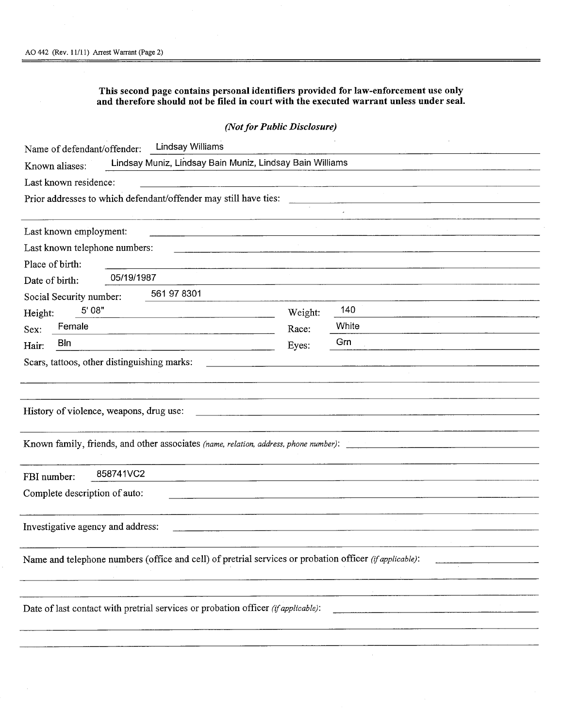#### This second page contains personal identiliers provided for law-enforcement use only and therefore should not be filed in court with the executed warrant unless under seal.

### (Not for Public Disclosure)

| <b>Lindsay Williams</b><br>Name of defendant/offender:                                                                                          |         |                                                                                                                        |
|-------------------------------------------------------------------------------------------------------------------------------------------------|---------|------------------------------------------------------------------------------------------------------------------------|
| Lindsay Muniz, Lindsay Bain Muniz, Lindsay Bain Williams<br>Known aliases:                                                                      |         |                                                                                                                        |
| Last known residence:<br><u> 1980 - Johann John Stone, martin amerikan basal dan berkecamatan di sebagai pengaran basal dan basal dan berke</u> |         |                                                                                                                        |
| Prior addresses to which defendant/offender may still have ties:                                                                                |         | <u> 1989 - Johann Barn, mars an t-Amerikaansk komponister (* 1908)</u>                                                 |
|                                                                                                                                                 |         |                                                                                                                        |
| Last known employment:                                                                                                                          |         |                                                                                                                        |
| Last known telephone numbers:<br><u> 1990 - Jan James James, martin amerikan bahasa (j. 1908).</u>                                              |         |                                                                                                                        |
| Place of birth:                                                                                                                                 |         |                                                                                                                        |
| 05/19/1987<br>Date of birth:                                                                                                                    |         |                                                                                                                        |
| 561 97 8301<br>Social Security number:                                                                                                          |         |                                                                                                                        |
| 5' 08"<br>Height:<br>the control of the control of the control of the control of the control of the control of                                  | Weight: | 140                                                                                                                    |
| Female<br>Sex:                                                                                                                                  | Race:   | White                                                                                                                  |
| Bln<br>Hair:                                                                                                                                    | Eyes:   | Grn                                                                                                                    |
| Scars, tattoos, other distinguishing marks:                                                                                                     |         |                                                                                                                        |
|                                                                                                                                                 |         |                                                                                                                        |
|                                                                                                                                                 |         |                                                                                                                        |
| History of violence, weapons, drug use:                                                                                                         |         | <u> 1989 - Andrea Maria de Carlos de Carlos de Carlos de Carlos de Carlos de Carlos de Carlos de Carlos de Carlos </u> |
|                                                                                                                                                 |         |                                                                                                                        |
|                                                                                                                                                 |         |                                                                                                                        |
|                                                                                                                                                 |         |                                                                                                                        |
| 858741VC2<br>FBI number:                                                                                                                        |         |                                                                                                                        |
| Complete description of auto:                                                                                                                   |         |                                                                                                                        |
|                                                                                                                                                 |         |                                                                                                                        |
| Investigative agency and address:                                                                                                               |         |                                                                                                                        |
|                                                                                                                                                 |         |                                                                                                                        |
| Name and telephone numbers (office and cell) of pretrial services or probation officer (if applicable):                                         |         |                                                                                                                        |
|                                                                                                                                                 |         |                                                                                                                        |
|                                                                                                                                                 |         |                                                                                                                        |
| Date of last contact with pretrial services or probation officer (if applicable):                                                               |         |                                                                                                                        |
|                                                                                                                                                 |         |                                                                                                                        |
|                                                                                                                                                 |         |                                                                                                                        |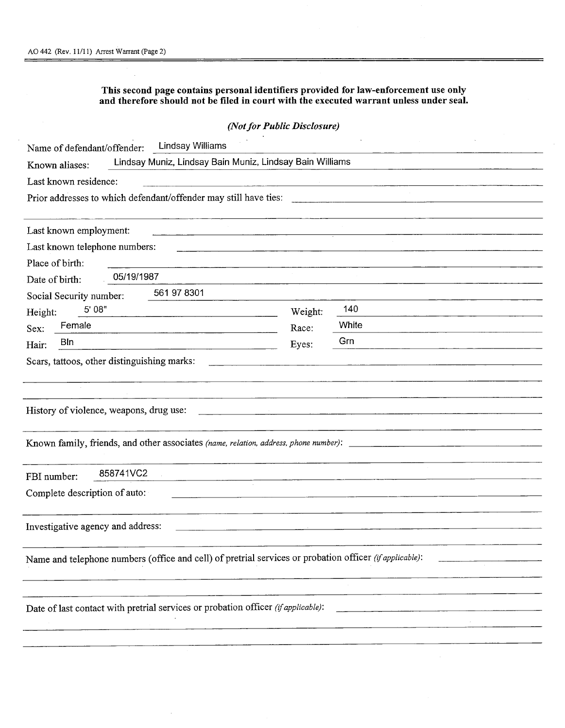#### This second page contains personal identifiers provided for law-enforcement use only and therefore should not be filed in court with the executed warrant unless under seal.

### (Not for Public Disclosure)

| Lindsay Muniz, Lindsay Bain Muniz, Lindsay Bain Williams                   |                                                                                                                                                                                                                                            |
|----------------------------------------------------------------------------|--------------------------------------------------------------------------------------------------------------------------------------------------------------------------------------------------------------------------------------------|
|                                                                            |                                                                                                                                                                                                                                            |
| Prior addresses to which defendant/offender may still have ties:           | <u> 1980 - Jan Barbara (j. 1980)</u>                                                                                                                                                                                                       |
|                                                                            |                                                                                                                                                                                                                                            |
| <u> 1980 - Johann Stein, mars an deus Amerikaansk kommunister (* 1908)</u> |                                                                                                                                                                                                                                            |
|                                                                            |                                                                                                                                                                                                                                            |
|                                                                            |                                                                                                                                                                                                                                            |
|                                                                            |                                                                                                                                                                                                                                            |
|                                                                            |                                                                                                                                                                                                                                            |
| Weight:                                                                    | 140                                                                                                                                                                                                                                        |
| Race:                                                                      | White                                                                                                                                                                                                                                      |
| Eyes:                                                                      | Grn                                                                                                                                                                                                                                        |
|                                                                            |                                                                                                                                                                                                                                            |
|                                                                            |                                                                                                                                                                                                                                            |
|                                                                            |                                                                                                                                                                                                                                            |
|                                                                            | <u> 1980 - John Stone, Amerikaansk politiker (* 1900)</u>                                                                                                                                                                                  |
|                                                                            |                                                                                                                                                                                                                                            |
|                                                                            |                                                                                                                                                                                                                                            |
|                                                                            |                                                                                                                                                                                                                                            |
|                                                                            |                                                                                                                                                                                                                                            |
|                                                                            |                                                                                                                                                                                                                                            |
|                                                                            |                                                                                                                                                                                                                                            |
|                                                                            |                                                                                                                                                                                                                                            |
|                                                                            |                                                                                                                                                                                                                                            |
|                                                                            | Name and telephone numbers (office and cell) of pretrial services or probation officer (if applicable):                                                                                                                                    |
|                                                                            |                                                                                                                                                                                                                                            |
|                                                                            |                                                                                                                                                                                                                                            |
|                                                                            |                                                                                                                                                                                                                                            |
|                                                                            |                                                                                                                                                                                                                                            |
|                                                                            |                                                                                                                                                                                                                                            |
|                                                                            | and the control of the control of the control of the control of the control of the control of the control of the<br>the company of the company of the<br>Date of last contact with pretrial services or probation officer (if applicable): |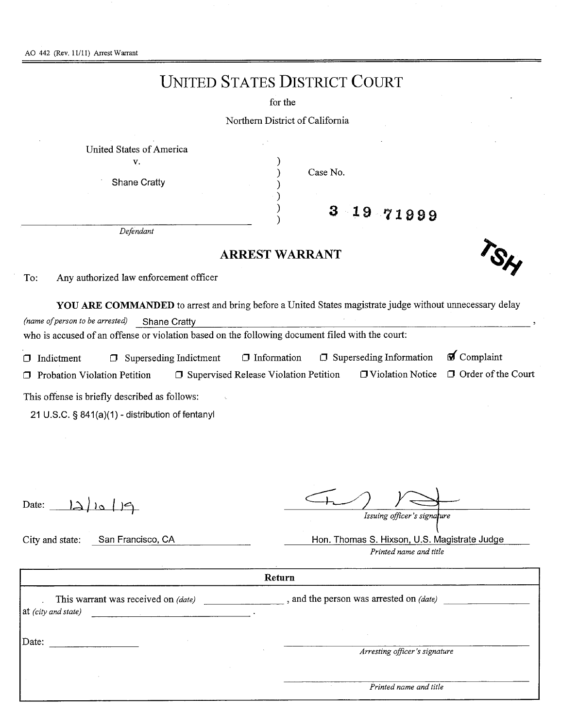# UNITED STATES DISTRICT COURT

for the Northem District of California United States of America V ) Case No. ) Shane Cratty ) ) 3 19 ?1999 ) ) Defendant ARREST WARRANT To: Any authorized law enforcement officer YOU ARE COMMANDED to arrest and bring before a United States magistrate judge without unnecessary delay (name of person to be arrested) Shane Cratty who is accused of an offense or violation based on the following document filed with the court: **d** Complaint  $\Box$  Indictment  $\Box$  Superseding Indictment  $\Box$  Information  $\Box$  Superseding Information  $\Box$  Violation Notice  $\Box$  Order of the Court  $\Box$  Probation Violation Petition  $\Box$  Supervised Release Violation Petition This offense is briefly described as follows: 21 U.S.C.  $\S$  841(a)(1) - distribution of fentanyl Date:  $|\lambda|$   $|\eta|$ Issuing officer's signa ture City and state: San Francisco, CA **Hon. Thomas S. Hixson, U.S. Magistrate Judge** Printed name and title Return This warrant was received on (date) 10.1 million metal and the person was arrested on (date) at (city and state) Date: Arresting officer's signature

Printed name and title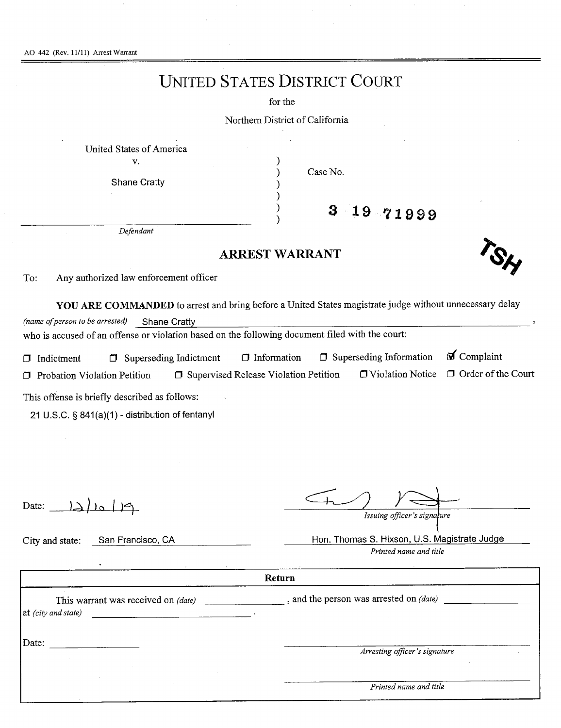# UNITED STATES DISTRICT COURT

for the

Northem District of California

) ) ) ) ) )

|  | United States of America |  |
|--|--------------------------|--|
|  |                          |  |

Shane Cratty

Case No

Defendant

s 19 ?1999



To: Any authorized law enforcement officer

YOU ARE COMMANDED to arrest and bring before a United States magistrate judge without unnecessary delay

ARREST WARRANT

| (name of person to be arrested) | <b>Shane Cratty</b> |
|---------------------------------|---------------------|
|---------------------------------|---------------------|

who is accused of an offense or violation based on the following document filed with the court:

 $\Box$  Indictment  $\Box$  Superseding Indictment  $\Box$  Information  $\Box$  Superseding Information  $\mathcal J$  Complaint

 $\Box$  Probation Violation Petition  $\Box$  Supervised Release Violation Petition  $\Box$  Violation Notice  $\Box$  Order of the Court

This offense is briefly described as follows:

21 U.S.C.  $\S$  841(a)(1) - distribution of fentanyl

Date:  $| \Delta | \ln | |$ 

Issuing officer's signa hira

City and state: San Francisco, CA Hon. Thomas S. Hixson, U.S. Magistrate Judge Printed name and title

| Return                                                     |                                         |
|------------------------------------------------------------|-----------------------------------------|
| This warrant was received on (date)<br>at (city and state) | , and the person was arrested on (date) |
| Date:                                                      | Arresting officer's signature           |
|                                                            | Printed name and title                  |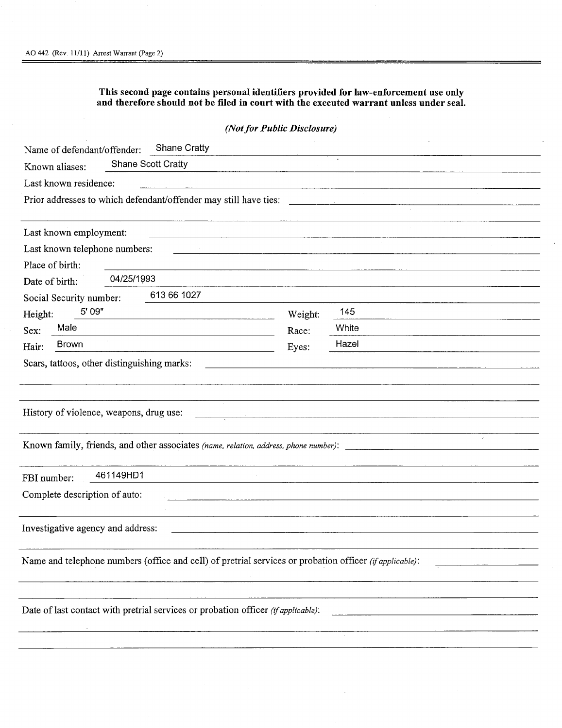This second page contains personal identifiers provided for law-enforcement use only and therefore should not be filed in court with the executed warrant unless under seal.

### (Not for Public Disclosure)

| <b>Shane Cratty</b><br>Name of defendant/offender:                                                                                                               |         |                                                                                                                      |  |  |
|------------------------------------------------------------------------------------------------------------------------------------------------------------------|---------|----------------------------------------------------------------------------------------------------------------------|--|--|
| <b>Shane Scott Cratty</b><br>Known aliases:                                                                                                                      |         |                                                                                                                      |  |  |
| Last known residence:<br>the company of the company of the company of the company of the company of the company of the company of the company                    |         |                                                                                                                      |  |  |
| Prior addresses to which defendant/offender may still have ties:                                                                                                 |         | <u> 1980 - Jan Stein Stein Stein Stein Stein Stein Stein Stein Stein Stein Stein Stein Stein Stein Stein Stein S</u> |  |  |
|                                                                                                                                                                  |         |                                                                                                                      |  |  |
| Last known employment:                                                                                                                                           |         |                                                                                                                      |  |  |
| Last known telephone numbers:                                                                                                                                    |         |                                                                                                                      |  |  |
| Place of birth:                                                                                                                                                  |         |                                                                                                                      |  |  |
| 04/25/1993<br>Date of birth:                                                                                                                                     |         |                                                                                                                      |  |  |
| 613 66 1027<br>Social Security number:                                                                                                                           |         |                                                                                                                      |  |  |
| 5' 09"<br>Height:                                                                                                                                                | Weight: | 145                                                                                                                  |  |  |
| Male<br>Sex:                                                                                                                                                     | Race:   | White                                                                                                                |  |  |
| <b>Brown</b><br>Hair:<br><u> 1980 - Johann John Stein, marwolaeth a bhaile an t-Amhair an t-Amhair an t-Amhair an t-Amhair an t-Amhair an </u>                   | Eyes:   | Hazel                                                                                                                |  |  |
| Scars, tattoos, other distinguishing marks:                                                                                                                      |         |                                                                                                                      |  |  |
|                                                                                                                                                                  |         |                                                                                                                      |  |  |
|                                                                                                                                                                  |         |                                                                                                                      |  |  |
| History of violence, weapons, drug use:<br><u> 1980 - Jan Sterling von Berling von Berling von Berling von Berling von Berling von Berling von Berling von B</u> |         |                                                                                                                      |  |  |
|                                                                                                                                                                  |         |                                                                                                                      |  |  |
| Known family, friends, and other associates (name, relation, address, phone number): _______________                                                             |         |                                                                                                                      |  |  |
|                                                                                                                                                                  |         |                                                                                                                      |  |  |
| 461149HD1<br>FBI number:                                                                                                                                         |         |                                                                                                                      |  |  |
| Complete description of auto:                                                                                                                                    |         |                                                                                                                      |  |  |
|                                                                                                                                                                  |         |                                                                                                                      |  |  |
| Investigative agency and address:                                                                                                                                |         |                                                                                                                      |  |  |
|                                                                                                                                                                  |         |                                                                                                                      |  |  |
| Name and telephone numbers (office and cell) of pretrial services or probation officer (if applicable):                                                          |         |                                                                                                                      |  |  |
|                                                                                                                                                                  |         |                                                                                                                      |  |  |
|                                                                                                                                                                  |         |                                                                                                                      |  |  |
| Date of last contact with pretrial services or probation officer (if applicable):                                                                                |         |                                                                                                                      |  |  |
|                                                                                                                                                                  |         |                                                                                                                      |  |  |
|                                                                                                                                                                  |         |                                                                                                                      |  |  |

 $\ddot{\phantom{a}}$